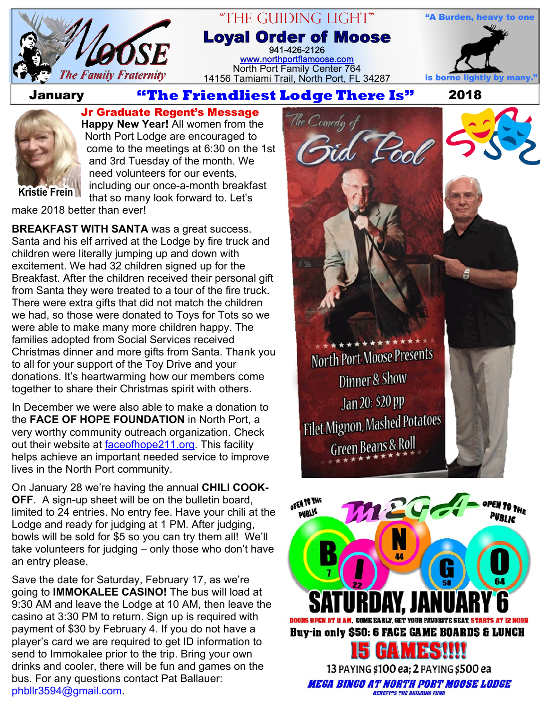

#### "The Guiding Light" **Loyal Order of Moose** 941-426-2126 [www.northportflamoose.com](http://www.northportflamoose.com) North Port Family Center 764 14156 Tamiami Trail, North Port, FL 34287 **is borne light**

# **January <b>2018 Extendliest Lodge There Is**" 2018



**Jr Graduate Regent's Message Happy New Year!** All women from the North Port Lodge are encouraged to come to the meetings at 6:30 on the 1st and 3rd Tuesday of the month. We need volunteers for our events, including our once-a-month breakfast that so many look forward to. Let's

**Kristie Frein**

make 2018 better than ever!

**BREAKFAST WITH SANTA** was a great success. Santa and his elf arrived at the Lodge by fire truck and children were literally jumping up and down with excitement. We had 32 children signed up for the Breakfast. After the children received their personal gift from Santa they were treated to a tour of the fire truck. There were extra gifts that did not match the children we had, so those were donated to Toys for Tots so we were able to make many more children happy. The families adopted from Social Services received Christmas dinner and more gifts from Santa. Thank you to all for your support of the Toy Drive and your donations. It's heartwarming how our members come together to share their Christmas spirit with others.

In December we were also able to make a donation to the **FACE OF HOPE FOUNDATION** in North Port, a very worthy community outreach organization. Check out their website at [faceofhope211.org.](http://faceofhope211.org) This facility helps achieve an important needed service to improve lives in the North Port community.

On January 28 we're having the annual **CHILI COOK-OFF**. A sign-up sheet will be on the bulletin board, limited to 24 entries. No entry fee. Have your chili at the Lodge and ready for judging at 1 PM. After judging, bowls will be sold for \$5 so you can try them all! We'll take volunteers for judging – only those who don't have an entry please.

Save the date for Saturday, February 17, as we're going to **IMMOKALEE CASINO!** The bus will load at 9:30 AM and leave the Lodge at 10 AM, then leave the casino at 3:30 PM to return. Sign up is required with payment of \$30 by February 4. If you do not have a player's card we are required to get ID information to send to Immokalee prior to the trip. Bring your own drinks and cooler, there will be fun and games on the bus. For any questions contact Pat Ballauer: [phbllr3594@gmail.com](mailto:phbllr3594@gmail.com).

North Port Moose Presents Dinner & Show Jan 20: \$20 pp Filet Mignon, Mashed Potatoes Green Beans & Roll

**"A Burden, heavy to one**

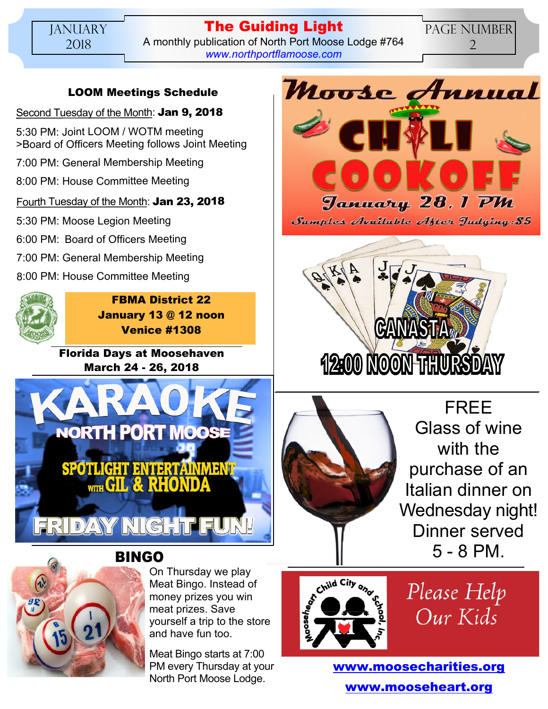### **The Guiding Light** A monthly publication of North Port Moose Lodge #764 *[www.northportflamoose.com](http://www.northportflamoose.com)*

PAGE NUMBER 2

## **LOOM Meetings Schedule**

Second Tuesday of the Month: **Jan 9, 2018**

5:30 PM: Joint LOOM / WOTM meeting >Board of Officers Meeting follows Joint Meeting

7:00 PM: General Membership Meeting

8:00 PM: House Committee Meeting

### Fourth Tuesday of the Month: **Jan 23, 2018**

5:30 PM: Moose Legion Meeting

6:00 PM: Board of Officers Meeting

- 7:00 PM: General Membership Meeting
- 8:00 PM: House Committee Meeting



**FBMA District 22 January 13 @ 12 noon Venice #1308**

**Florida Days at Moosehaven March 24 - 26, 2018**





On Thursday we play Meat Bingo. Instead of money prizes you win meat prizes. Save yourself a trip to the store and have fun too.

Meat Bingo starts at 7:00 PM every Thursday at your North Port Moose Lodge.



Samples Available After Judging: \$5





FREE Glass of wine with the purchase of an Italian dinner on Wednesday night! Dinner served 5 - 8 PM.



Please Help Our Kids

**[www.moosecharities.org](http://www.moosecharities.org) [www.mooseheart.org](http://www.mooseheart.org)**